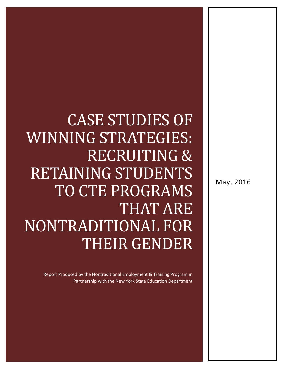# CASE STUDIES OF WINNING STRATEGIES: RECRUITING & RETAINING STUDENTS TO CTE PROGRAMS THAT ARE NONTRADITIONAL FOR THEIR GENDER

Report Produced by the Nontraditional Employment & Training Program in Partnership with the New York State Education Department May, 2016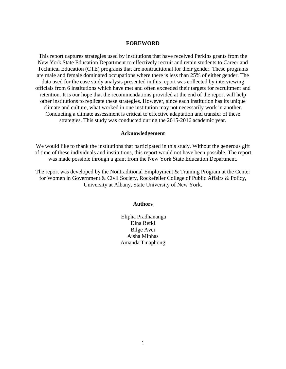#### **FOREWORD**

This report captures strategies used by institutions that have received Perkins grants from the New York State Education Department to effectively recruit and retain students to Career and Technical Education (CTE) programs that are nontraditional for their gender. These programs are male and female dominated occupations where there is less than 25% of either gender. The data used for the case study analysis presented in this report was collected by interviewing officials from 6 institutions which have met and often exceeded their targets for recruitment and retention. It is our hope that the recommendations provided at the end of the report will help other institutions to replicate these strategies. However, since each institution has its unique climate and culture, what worked in one institution may not necessarily work in another. Conducting a climate assessment is critical to effective adaptation and transfer of these strategies. This study was conducted during the 2015-2016 academic year.

#### **Acknowledgement**

We would like to thank the institutions that participated in this study. Without the generous gift of time of these individuals and institutions, this report would not have been possible. The report was made possible through a grant from the New York State Education Department.

The report was developed by the Nontraditional Employment & Training Program at the Center for Women in Government & Civil Society, Rockefeller College of Public Affairs & Policy, University at Albany, State University of New York.

#### **Authors**

Elipha Pradhananga Dina Refki Bilge Avci Aisha Minhas Amanda Tinaphong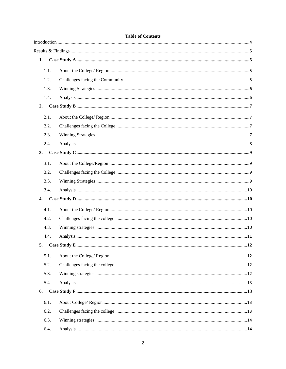| 1.   |  |
|------|--|
| 1.1. |  |
| 1.2. |  |
| 1.3. |  |
| 1.4. |  |
| 2.   |  |
| 2.1. |  |
| 2.2. |  |
| 2.3. |  |
| 2.4. |  |
| 3.   |  |
| 3.1. |  |
| 3.2. |  |
| 3.3. |  |
| 3.4. |  |
| 4.   |  |
| 4.1. |  |
| 4.2. |  |
| 4.3. |  |
| 4.4. |  |
| 5.   |  |
| 5.1. |  |
| 5.2. |  |
| 5.3. |  |
| 5.4. |  |
| 6.   |  |
| 6.1. |  |
| 6.2. |  |
| 6.3. |  |
| 6.4. |  |

#### **Table of Contents**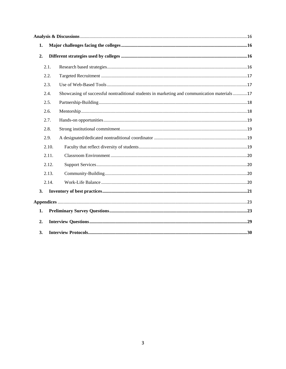| 1. |       |                                                                                              |  |
|----|-------|----------------------------------------------------------------------------------------------|--|
| 2. |       |                                                                                              |  |
|    | 2.1.  |                                                                                              |  |
|    | 2.2.  |                                                                                              |  |
|    | 2.3.  |                                                                                              |  |
|    | 2.4.  | Showcasing of successful nontraditional students in marketing and communication materials 17 |  |
|    | 2.5.  |                                                                                              |  |
|    | 2.6.  |                                                                                              |  |
|    | 2.7.  |                                                                                              |  |
|    | 2.8.  |                                                                                              |  |
|    | 2.9.  |                                                                                              |  |
|    | 2.10. |                                                                                              |  |
|    | 2.11. |                                                                                              |  |
|    | 2.12. |                                                                                              |  |
|    | 2.13. |                                                                                              |  |
|    | 2.14. |                                                                                              |  |
| 3. |       |                                                                                              |  |
|    |       |                                                                                              |  |
| 1. |       |                                                                                              |  |
| 2. |       |                                                                                              |  |
| 3. |       |                                                                                              |  |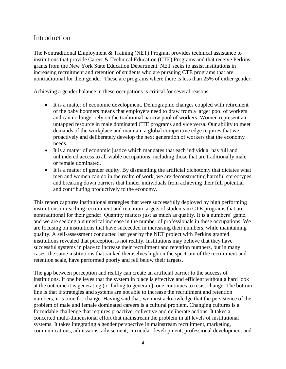# <span id="page-4-0"></span>Introduction

The Nontraditional Employment & Training (NET) Program provides technical assistance to institutions that provide Career & Technical Education (CTE) Programs and that receive Perkins grants from the New York State Education Department. NET seeks to assist institutions in increasing recruitment and retention of students who are pursuing CTE programs that are nontraditional for their gender. These are programs where there is less than 25% of either gender.

Achieving a gender balance in these occupations is critical for several reasons:

- It is a matter of economic development. Demographic changes coupled with retirement of the baby boomers means that employers need to draw from a larger pool of workers and can no longer rely on the traditional narrow pool of workers. Women represent an untapped resource in male dominated CTE programs and vice versa. Our ability to meet demands of the workplace and maintain a global competitive edge requires that we proactively and deliberately develop the next generation of workers that the economy needs.
- It is a matter of economic justice which mandates that each individual has full and unhindered access to all viable occupations, including those that are traditionally male or female dominated.
- It is a matter of gender equity. By dismantling the artificial dichotomy that dictates what men and women can do in the realm of work, we are deconstructing harmful stereotypes and breaking down barriers that hinder individuals from achieving their full potential and contributing productively to the economy.

This report captures institutional strategies that were successfully deployed by high performing institutions in reaching recruitment and retention targets of students in CTE programs that are nontraditional for their gender. Quantity matters just as much as quality. It is a numbers' game, and we are seeking a numerical increase in the number of professionals in these occupations. We are focusing on institutions that have succeeded in increasing their numbers, while maintaining quality. A self-assessment conducted last year by the NET project with Perkins granted institutions revealed that perception is not reality. Institutions may believe that they have successful systems in place to increase their recruitment and retention numbers, but in many cases, the same institutions that ranked themselves high on the spectrum of the recruitment and retention scale, have performed poorly and fell below their targets.

The gap between perception and reality can create an artificial barrier to the success of institutions. If one believes that the system in place is effective and efficient without a hard look at the outcome it is generating (or failing to generate), one continues to resist change. The bottom line is that if strategies and systems are not able to increase the recruitment and retention numbers, it is time for change. Having said that, we must acknowledge that the persistence of the problem of male and female dominated careers is a cultural problem. Changing cultures is a formidable challenge that requires proactive, collective and deliberate actions. It takes a concerted multi-dimensional effort that mainstream the problem in all levels of institutional systems. It takes integrating a gender perspective in mainstream recruitment, marketing, communications, admissions, advisement, curricular development, professional development and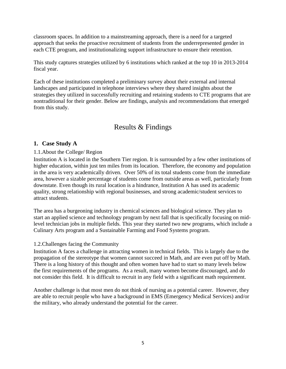classroom spaces. In addition to a mainstreaming approach, there is a need for a targeted approach that seeks the proactive recruitment of students from the underrepresented gender in each CTE program, and institutionalizing support infrastructure to ensure their retention.

This study captures strategies utilized by 6 institutions which ranked at the top 10 in 2013-2014 fiscal year.

Each of these institutions completed a preliminary survey about their external and internal landscapes and participated in telephone interviews where they shared insights about the strategies they utilized in successfully recruiting and retaining students to CTE programs that are nontraditional for their gender. Below are findings, analysis and recommendations that emerged from this study.

# Results & Findings

#### <span id="page-5-1"></span><span id="page-5-0"></span>**1. Case Study A**

#### <span id="page-5-2"></span>1.1.About the College/ Region

Institution A is located in the Southern Tier region. It is surrounded by a few other institutions of higher education, within just ten miles from its location. Therefore, the economy and population in the area is very academically driven. Over 50% of its total students come from the immediate area, however a sizable percentage of students come from outside areas as well, particularly from downstate. Even though its rural location is a hindrance, Institution A has used its academic quality, strong relationship with regional businesses, and strong academic/student services to attract students.

The area has a burgeoning industry in chemical sciences and biological science. They plan to start an applied science and technology program by next fall that is specifically focusing on midlevel technician jobs in multiple fields. This year they started two new programs, which include a Culinary Arts program and a Sustainable Farming and Food Systems program.

#### <span id="page-5-3"></span>1.2.Challenges facing the Community

Institution A faces a challenge in attracting women in technical fields. This is largely due to the propagation of the stereotype that women cannot succeed in Math, and are even put off by Math. There is a long history of this thought and often women have had to start so many levels below the first requirements of the programs. As a result, many women become discouraged, and do not consider this field. It is difficult to recruit in any field with a significant math requirement.

Another challenge is that most men do not think of nursing as a potential career. However, they are able to recruit people who have a background in EMS (Emergency Medical Services) and/or the military, who already understand the potential for the career.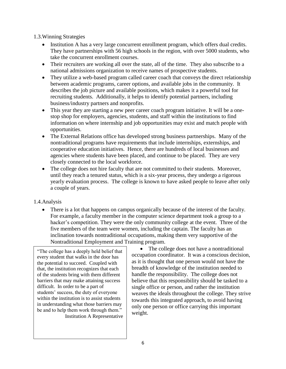<span id="page-6-0"></span>1.3.Winning Strategies

- Institution A has a very large concurrent enrollment program, which offers dual credits. They have partnerships with 56 high schools in the region, with over 5000 students, who take the concurrent enrollment courses.
- Their recruiters are working all over the state, all of the time. They also subscribe to a national admissions organization to receive names of prospective students.
- They utilize a web-based program called career coach that conveys the direct relationship between academic programs, career options, and available jobs in the community. It describes the job picture and available positions, which makes it a powerful tool for recruiting students. Additionally, it helps to identify potential partners, including business/industry partners and nonprofits.
- This year they are starting a new peer career coach program initiative. It will be a onestop shop for employers, agencies, students, and staff within the institutions to find information on where internship and job opportunities may exist and match people with opportunities.
- The External Relations office has developed strong business partnerships. Many of the nontraditional programs have requirements that include internships, externships, and cooperative education initiatives. Hence, there are hundreds of local businesses and agencies where students have been placed, and continue to be placed. They are very closely connected to the local workforce.
- The college does not hire faculty that are not committed to their students. Moreover, until they reach a tenured status, which is a six-year process, they undergo a rigorous yearly evaluation process. The college is known to have asked people to leave after only a couple of years.

#### <span id="page-6-1"></span>1.4.Analysis

 There is a lot that happens on campus organically because of the interest of the faculty. For example, a faculty member in the computer science department took a group to a hacker's competition. They were the only community college at the event. Three of the five members of the team were women, including the captain. The faculty has an inclination towards nontraditional occupations, making them very supportive of the Nontraditional Employment and Training program.

"The college has a deeply held belief that every student that walks in the door has the potential to succeed. Coupled with that, the institution recognizes that each of the students bring with them different barriers that may make attaining success difficult. In order to be a part of students' success, the duty of everyone within the institution is to assist students in understanding what those barriers may be and to help them work through them." Institution A Representative

 The college does not have a nontraditional occupation coordinator. It was a conscious decision, as it is thought that one person would not have the breadth of knowledge of the institution needed to handle the responsibility. The college does not believe that this responsibility should be tasked to a single office or person, and rather the institution weaves the ideals throughout the college. They strive towards this integrated approach, to avoid having only one person or office carrying this important weight.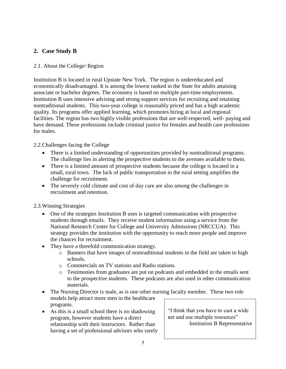# <span id="page-7-0"></span>**2. Case Study B**

#### <span id="page-7-1"></span>2.1. About the College/ Region

Institution B is located in rural Upstate New York. The region is undereducated and economically disadvantaged. It is among the lowest ranked in the State for adults attaining associate or bachelor degrees. The economy is based on multiple part-time employments. Institution B uses intensive advising and strong support services for recruiting and retaining nontraditional students. This two-year college is reasonably priced and has a high academic quality. Its programs offer applied learning, which promotes hiring at local and regional facilities. The region has two highly visible professions that are well-respected, well- paying and have demand. These professions include criminal justice for females and health care professions for males.

#### <span id="page-7-2"></span>2.2.Challenges facing the College

- There is a limited understanding of opportunities provided by nontraditional programs. The challenge lies in alerting the prospective students to the avenues available to them.
- There is a limited amount of prospective students because the college is located in a small, rural town. The lack of public transportation in the rural setting amplifies the challenge for recruitment.
- The severely cold climate and cost of day care are also among the challenges in recruitment and retention.

#### <span id="page-7-3"></span>2.3.Winning Strategies

- One of the strategies Institution B uses is targeted communication with prospective students through emails. They receive student information using a service from the National Research Center for College and University Admissions (NRCCUA). This strategy provides the institution with the opportunity to reach more people and improve the chances for recruitment.
- They have a threefold communication strategy.
	- o Banners that have images of nontraditional students in the field are taken to high schools.
	- o Commercials on TV stations and Radio stations.
	- o Testimonies from graduates are put on podcasts and embedded in the emails sent to the prospective students. These podcasts are also used in other communication materials.
- The Nursing Director is male, as is one other nursing faculty member. These two role models help attract more men in the healthcare programs.
- As this is a small school there is no shadowing program, however students have a direct relationship with their instructors. Rather than having a set of professional advisors who rarely

"I think that you have to cast a wide net and use multiple resources" Institution B Representative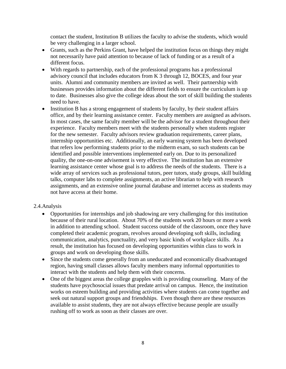contact the student, Institution B utilizes the faculty to advise the students, which would be very challenging in a larger school.

- Grants, such as the Perkins Grant, have helped the institution focus on things they might not necessarily have paid attention to because of lack of funding or as a result of a different focus.
- With regards to partnership, each of the professional programs has a professional advisory council that includes educators from K 3 through 12, BOCES, and four year units. Alumni and community members are invited as well. Their partnership with businesses provides information about the different fields to ensure the curriculum is up to date. Businesses also give the college ideas about the sort of skill building the students need to have.
- Institution B has a strong engagement of students by faculty, by their student affairs office, and by their learning assistance center. Faculty members are assigned as advisors. In most cases, the same faculty member will be the advisor for a student throughout their experience. Faculty members meet with the students personally when students register for the new semester. Faculty advisors review graduation requirements, career plans, internship opportunities etc. Additionally, an early warning system has been developed that refers low performing students prior to the midterm exam, so such students can be identified and possible interventions implemented early on. Due to its personalized quality, the one-on-one advisement is very effective. The institution has an extensive learning assistance center whose goal is to address the needs of the students. There is a wide array of services such as professional tutors, peer tutors, study groups, skill building talks, computer labs to complete assignments, an active librarian to help with research assignments, and an extensive online journal database and internet access as students may not have access at their home.

#### <span id="page-8-0"></span>2.4.Analysis

- Opportunities for internships and job shadowing are very challenging for this institution because of their rural location. About 70% of the students work 20 hours or more a week in addition to attending school. Student success outside of the classroom, once they have completed their academic program, revolves around developing soft skills, including communication, analytics, punctuality, and very basic kinds of workplace skills. As a result, the institution has focused on developing opportunities within class to work in groups and work on developing those skills.
- Since the students come generally from an uneducated and economically disadvantaged region, having small classes allows faculty members many informal opportunities to interact with the students and help them with their concerns.
- One of the biggest areas the college grapples with is providing counseling. Many of the students have psychosocial issues that predate arrival on campus. Hence, the institution works on esteem building and providing activities where students can come together and seek out natural support groups and friendships. Even though there are these resources available to assist students, they are not always effective because people are usually rushing off to work as soon as their classes are over.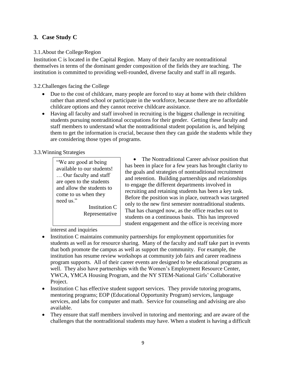# <span id="page-9-0"></span>**3. Case Study C**

#### <span id="page-9-1"></span>3.1.About the College/Region

Institution C is located in the Capital Region. Many of their faculty are nontraditional themselves in terms of the dominant gender composition of the fields they are teaching. The institution is committed to providing well-rounded, diverse faculty and staff in all regards.

<span id="page-9-2"></span>3.2.Challenges facing the College

- Due to the cost of childcare, many people are forced to stay at home with their children rather than attend school or participate in the workforce, because there are no affordable childcare options and they cannot receive childcare assistance.
- Having all faculty and staff involved in recruiting is the biggest challenge in recruiting students pursuing nontraditional occupations for their gender. Getting these faculty and staff members to understand what the nontraditional student population is, and helping them to get the information is crucial, because then they can guide the students while they are considering those types of programs.

#### <span id="page-9-3"></span>3.3.Winning Strategies

"We are good at being available to our students! … Our faculty and staff are open to the students and allow the students to come to us when they need us"

> Institution C Representative

• The Nontraditional Career advisor position that has been in place for a few years has brought clarity to the goals and strategies of nontraditional recruitment and retention. Building partnerships and relationships to engage the different departments involved in recruiting and retaining students has been a key task. Before the position was in place, outreach was targeted only to the new first semester nontraditional students. That has changed now, as the office reaches out to students on a continuous basis. This has improved student engagement and the office is receiving more

interest and inquiries

- Institution C maintains community partnerships for employment opportunities for students as well as for resource sharing. Many of the faculty and staff take part in events that both promote the campus as well as support the community. For example, the institution has resume review workshops at community job fairs and career readiness program supports. All of their career events are designed to be educational programs as well. They also have partnerships with the Women's Employment Resource Center, YWCA, YMCA Housing Program, and the NY STEM-National Girls' Collaborative Project.
- Institution C has effective student support services. They provide tutoring programs, mentoring programs; EOP (Educational Opportunity Program) services, language services, and labs for computer and math. Service for counseling and advising are also available.
- They ensure that staff members involved in tutoring and mentoring; and are aware of the challenges that the nontraditional students may have. When a student is having a difficult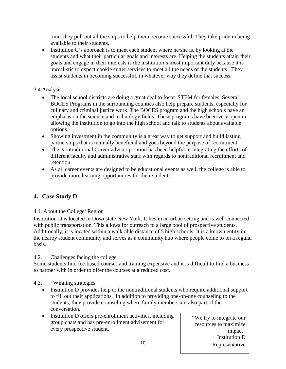time, they pull out all the stops to help them become successful. They take pride in being available to their students.

• Institution C's approach is to meet each student where he/she is, by looking at the students and what their particular goals and interests are. Helping the students attain their goals and engage in their interests is the institution's most important duty because it is unrealistic to expect cookie cutter services to meet all the needs of the students. They assist students in becoming successful, in whatever way they define that success.

# <span id="page-10-0"></span>3.4.Analysis

- The local school districts are doing a great deal to foster STEM for females. Several BOCES Programs in the surrounding counties also help prepare students, especially for culinary and criminal justice work. The BOCES program and the high schools have an emphasis on the science and technology fields. These programs have been very open in allowing the institution to go into the high school and talk to students about available options.
- Showing investment in the community is a great way to get support and build lasting partnerships that is mutually beneficial and goes beyond the purpose of recruitment.
- The Nontraditional Career advisor position has been helpful in integrating the efforts of different faculty and administrative staff with regards to nontraditional recruitment and retention.
- As all career events are designed to be educational events as well, the college is able to provide more learning opportunities for their students.

# <span id="page-10-1"></span>**4. Case Study D**

# <span id="page-10-2"></span>4.1. About the College/ Region

Institution D is located in Downstate New York. It lies in an urban setting and is well connected with public transportation. This allows for outreach to a large pool of prospective students. Additionally, it is located within a walk-able distance of 5 high schools. It is a known entity in the nearby student community and serves as a community hub where people come to on a regular basis.

# <span id="page-10-3"></span>4.2. Challenges facing the college

Some students find fee-based courses and training expensive and it is difficult to find a business to partner with in order to offer the courses at a reduced cost.

# 4.3. Winning strategies

- <span id="page-10-4"></span>• Institution D provides help to the nontraditional students who require additional support to fill out their applications. In addition to providing one-on-one counseling to the students, they provide counseling where family members are also part of the conversation.
- Institution D offers pre-enrollment activities, including group chats and has pre-enrollment advisement for every prospective student.

"We try to integrate our resources to maximize impact" Institution D Representative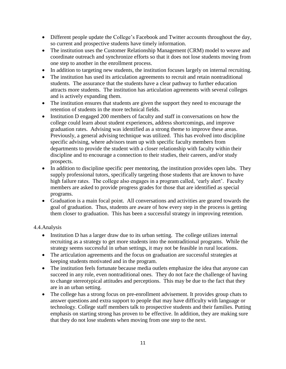- Different people update the College's Facebook and Twitter accounts throughout the day, so current and prospective students have timely information.
- The institution uses the Customer Relationship Management (CRM) model to weave and coordinate outreach and synchronize efforts so that it does not lose students moving from one step to another in the enrollment process.
- In addition to targeting new students, the institution focuses largely on internal recruiting.
- The institution has used its articulation agreements to recruit and retain nontraditional students. The assurance that the students have a clear pathway to further education attracts more students. The institution has articulation agreements with several colleges and is actively expanding them.
- The institution ensures that students are given the support they need to encourage the retention of students in the more technical fields.
- Institution D engaged 200 members of faculty and staff in conversations on how the college could learn about student experiences, address shortcomings, and improve graduation rates. Advising was identified as a strong theme to improve these areas. Previously, a general advising technique was utilized. This has evolved into discipline specific advising, where advisors team up with specific faculty members from departments to provide the student with a closer relationship with faculty within their discipline and to encourage a connection to their studies, their careers, and/or study prospects.
- In addition to discipline specific peer mentoring, the institution provides open labs. They supply professional tutors, specifically targeting those students that are known to have high failure rates. The college also engages in a program called, 'early alert'. Faculty members are asked to provide progress grades for those that are identified as special programs.
- Graduation is a main focal point. All conversations and activities are geared towards the goal of graduation. Thus, students are aware of how every step in the process is getting them closer to graduation. This has been a successful strategy in improving retention.

#### <span id="page-11-0"></span>4.4.Analysis

- Institution D has a larger draw due to its urban setting. The college utilizes internal recruiting as a strategy to get more students into the nontraditional programs. While the strategy seems successful in urban settings, it may not be feasible in rural locations.
- The articulation agreements and the focus on graduation are successful strategies at keeping students motivated and in the program.
- The institution feels fortunate because media outlets emphasize the idea that anyone can succeed in any role, even nontraditional ones. They do not face the challenge of having to change stereotypical attitudes and perceptions. This may be due to the fact that they are in an urban setting.
- The college has a strong focus on pre-enrollment advisement. It provides group chats to answer questions and extra support to people that may have difficulty with language or technology. College staff members talk to prospective students and their families. Putting emphasis on starting strong has proven to be effective. In addition, they are making sure that they do not lose students when moving from one step to the next.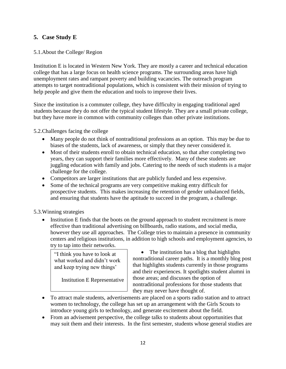# <span id="page-12-0"></span>**5. Case Study E**

#### <span id="page-12-1"></span>5.1.About the College/ Region

Institution E is located in Western New York. They are mostly a career and technical education college that has a large focus on health science programs. The surrounding areas have high unemployment rates and rampant poverty and building vacancies. The outreach program attempts to target nontraditional populations, which is consistent with their mission of trying to help people and give them the education and tools to improve their lives.

Since the institution is a commuter college, they have difficulty in engaging traditional aged students because they do not offer the typical student lifestyle. They are a small private college, but they have more in common with community colleges than other private institutions.

<span id="page-12-2"></span>5.2.Challenges facing the college

- Many people do not think of nontraditional professions as an option. This may be due to biases of the students, lack of awareness, or simply that they never considered it.
- Most of their students enroll to obtain technical education, so that after completing two years, they can support their families more effectively. Many of these students are juggling education with family and jobs. Catering to the needs of such students is a major challenge for the college.
- Competitors are larger institutions that are publicly funded and less expensive.
- Some of the technical programs are very competitive making entry difficult for prospective students. This makes increasing the retention of gender unbalanced fields, and ensuring that students have the aptitude to succeed in the program, a challenge.

<span id="page-12-3"></span>5.3.Winning strategies

• Institution E finds that the boots on the ground approach to student recruitment is more effective than traditional advertising on billboards, radio stations, and social media, however they use all approaches. The College tries to maintain a presence in community centers and religious institutions, in addition to high schools and employment agencies, to try to tap into their networks.

"I think you have to look at what worked and didn't work and keep trying new things'

Institution E Representative

• The institution has a blog that highlights nontraditional career paths. It is a monthly blog post that highlights students currently in those programs and their experiences. It spotlights student alumni in those areas; and discusses the option of nontraditional professions for those students that they may never have thought of.

- To attract male students, advertisements are placed on a sports radio station and to attract women to technology, the college has set up an arrangement with the Girls Scouts to introduce young girls to technology, and generate excitement about the field.
- From an advisement perspective, the college talks to students about opportunities that may suit them and their interests. In the first semester, students whose general studies are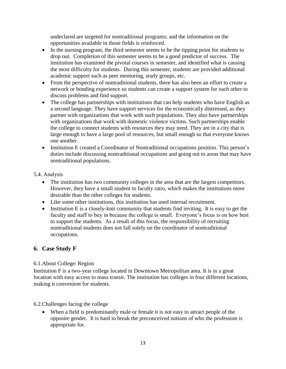undeclared are targeted for nontraditional programs; and the information on the opportunities available in those fields is reinforced.

- In the nursing program, the third semester seems to be the tipping point for students to drop out. Completion of this semester seems to be a good predictor of success. The institution has examined the pivotal courses in semester, and identified what is causing the most difficulty for students. During this semester, students are provided additional academic support such as peer mentoring, study groups, etc.
- From the perspective of nontraditional students, there has also been an effort to create a network or bonding experience so students can create a support system for each other to discuss problems and find support.
- The college has partnerships with institutions that can help students who have English as a second language. They have support services for the economically distressed, as they partner with organizations that work with such populations. They also have partnerships with organizations that work with domestic violence victims. Such partnerships enable the college to connect students with resources they may need. They are in a city that is large enough to have a large pool of resources, but small enough so that everyone knows one another.
- Institution E created a Coordinator of Nontraditional occupations position. This person's duties include discussing nontraditional occupations and going out to areas that may have nontraditional populations.

5.4. Analysis

- <span id="page-13-0"></span>• The institution has two community colleges in the area that are the largest competitors. However, they have a small student to faculty ratio, which makes the institutions more desirable than the other colleges for students.
- Like some other institutions, this institution has used internal recruitment.
- Institution E is a closely-knit community that students find inviting. It is easy to get the faculty and staff to buy in because the college is small. Everyone's focus is on how best to support the students. As a result of this focus, the responsibility of recruiting nontraditional students does not fall solely on the coordinator of nontraditional occupations.

# <span id="page-13-1"></span>**6. Case Study F**

#### <span id="page-13-2"></span>6.1.About College/ Region

Institution F is a two-year college located in Downtown Metropolitan area. It is in a great location with easy access to mass transit. The institution has colleges in four different locations, making it convenient for students.

#### <span id="page-13-3"></span>6.2.Challenges facing the college

 When a field is predominantly male or female it is not easy to attract people of the opposite gender. It is hard to break the preconceived notions of who the profession is appropriate for.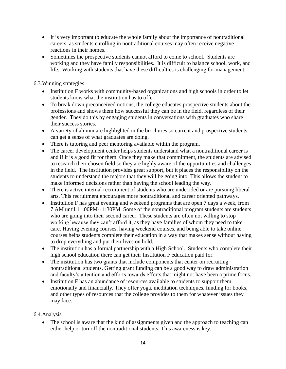- It is very important to educate the whole family about the importance of nontraditional careers, as students enrolling in nontraditional courses may often receive negative reactions in their homes.
- Sometimes the prospective students cannot afford to come to school. Students are working and they have family responsibilities. It is difficult to balance school, work, and life. Working with students that have these difficulties is challenging for management.

<span id="page-14-0"></span>6.3.Winning strategies

- Institution F works with community-based organizations and high schools in order to let students know what the institution has to offer.
- To break down preconceived notions, the college educates prospective students about the professions and shows them how successful they can be in the field, regardless of their gender. They do this by engaging students in conversations with graduates who share their success stories.
- A variety of alumni are highlighted in the brochures so current and prospective students can get a sense of what graduates are doing.
- There is tutoring and peer mentoring available within the program.
- The career development center helps students understand what a nontraditional career is and if it is a good fit for them. Once they make that commitment, the students are advised to research their chosen field so they are highly aware of the opportunities and challenges in the field. The institution provides great support, but it places the responsibility on the students to understand the majors that they will be going into. This allows the student to make informed decisions rather than having the school leading the way.
- There is active internal recruitment of students who are undecided or are pursuing liberal arts. This recruitment encourages more nontraditional and career oriented pathways.
- Institution F has great evening and weekend programs that are open 7 days a week, from 7 AM until 11:00PM-11:30PM. Some of the nontraditional program students are students who are going into their second career. These students are often not willing to stop working because they can't afford it, as they have families of whom they need to take care. Having evening courses, having weekend courses, and being able to take online courses helps students complete their education in a way that makes sense without having to drop everything and put their lives on hold.
- The institution has a formal partnership with a High School. Students who complete their high school education there can get their Institution F education paid for.
- The institution has two grants that include components that center on recruiting nontraditional students. Getting grant funding can be a good way to draw administration and faculty's attention and efforts towards efforts that might not have been a prime focus.
- Institution F has an abundance of resources available to students to support them emotionally and financially. They offer yoga, meditation techniques, funding for books, and other types of resources that the college provides to them for whatever issues they may face.

#### <span id="page-14-1"></span>6.4.Analysis

• The school is aware that the kind of assignments given and the approach to teaching can either help or turnoff the nontraditional students. This awareness is key.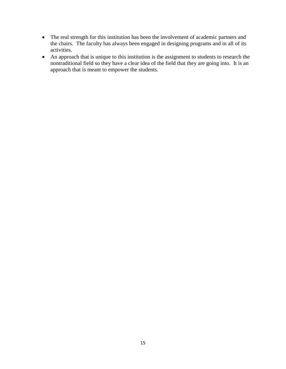- The real strength for this institution has been the involvement of academic partners and the chairs. The faculty has always been engaged in designing programs and in all of its activities.
- An approach that is unique to this institution is the assignment to students to research the nontraditional field so they have a clear idea of the field that they are going into. It is an approach that is meant to empower the students.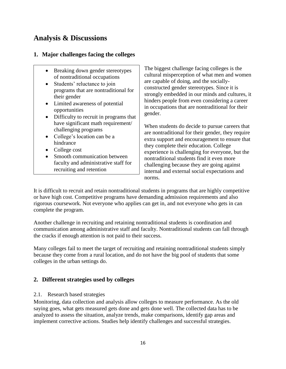# <span id="page-16-0"></span>**Analysis & Discussions**

### <span id="page-16-1"></span>**1. Major challenges facing the colleges**

- Breaking down gender stereotypes of nontraditional occupations
- Students' reluctance to join programs that are nontraditional for their gender
- Limited awareness of potential opportunities
- Difficulty to recruit in programs that have significant math requirement/ challenging programs
- College's location can be a hindrance
- College cost
- Smooth communication between faculty and administrative staff for recruiting and retention

The biggest challenge facing colleges is the cultural misperception of what men and women are capable of doing, and the sociallyconstructed gender stereotypes. Since it is strongly embedded in our minds and cultures, it hinders people from even considering a career in occupations that are nontraditional for their gender.

When students do decide to pursue careers that are nontraditional for their gender, they require extra support and encouragement to ensure that they complete their education. College experience is challenging for everyone, but the nontraditional students find it even more challenging because they are going against internal and external social expectations and norms.

It is difficult to recruit and retain nontraditional students in programs that are highly competitive or have high cost. Competitive programs have demanding admission requirements and also rigorous coursework. Not everyone who applies can get in, and not everyone who gets in can complete the program.

Another challenge in recruiting and retaining nontraditional students is coordination and communication among administrative staff and faculty. Nontraditional students can fall through the cracks if enough attention is not paid to their success.

Many colleges fail to meet the target of recruiting and retaining nontraditional students simply because they come from a rural location, and do not have the big pool of students that some colleges in the urban settings do.

# <span id="page-16-2"></span>**2. Different strategies used by colleges**

#### <span id="page-16-3"></span>2.1. Research based strategies

Monitoring, data collection and analysis allow colleges to measure performance. As the old saying goes, what gets measured gets done and gets done well. The collected data has to be analyzed to assess the situation, analyze trends, make comparisons, identify gap areas and implement corrective actions. Studies help identify challenges and successful strategies.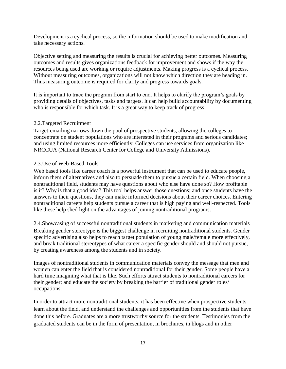Development is a cyclical process, so the information should be used to make modification and take necessary actions.

Objective setting and measuring the results is crucial for achieving better outcomes. Measuring outcomes and results gives organizations feedback for improvement and shows if the way the resources being used are working or require adjustments. Making progress is a cyclical process. Without measuring outcomes, organizations will not know which direction they are heading in. Thus measuring outcome is required for clarity and progress towards goals.

It is important to trace the program from start to end. It helps to clarify the program's goals by providing details of objectives, tasks and targets. It can help build accountability by documenting who is responsible for which task. It is a great way to keep track of progress.

#### <span id="page-17-0"></span>2.2.Targeted Recruitment

Target-emailing narrows down the pool of prospective students, allowing the colleges to concentrate on student populations who are interested in their programs and serious candidates; and using limited resources more efficiently. Colleges can use services from organization like NRCCUA (National Research Center for College and University Admissions).

#### <span id="page-17-1"></span>2.3.Use of Web-Based Tools

Web based tools like career coach is a powerful instrument that can be used to educate people, inform them of alternatives and also to persuade them to pursue a certain field. When choosing a nontraditional field, students may have questions about who else have done so? How profitable is it? Why is that a good idea? This tool helps answer those questions; and once students have the answers to their questions, they can make informed decisions about their career choices. Entering nontraditional careers help students pursue a career that is high paying and well-respected. Tools like these help shed light on the advantages of joining nontraditional programs.

<span id="page-17-2"></span>2.4.Showcasing of successful nontraditional students in marketing and communication materials Breaking gender stereotype is the biggest challenge in recruiting nontraditional students. Gender specific advertising also helps to reach target population of young male/female more effectively, and break traditional stereotypes of what career a specific gender should and should not pursue, by creating awareness among the students and in society.

Images of nontraditional students in communication materials convey the message that men and women can enter the field that is considered nontraditional for their gender. Some people have a hard time imagining what that is like. Such efforts attract students to nontraditional careers for their gender; and educate the society by breaking the barrier of traditional gender roles/ occupations.

In order to attract more nontraditional students, it has been effective when prospective students learn about the field, and understand the challenges and opportunities from the students that have done this before. Graduates are a more trustworthy source for the students. Testimonies from the graduated students can be in the form of presentation, in brochures, in blogs and in other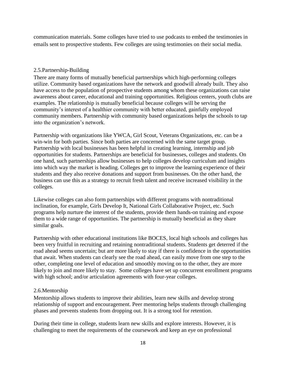communication materials. Some colleges have tried to use podcasts to embed the testimonies in emails sent to prospective students. Few colleges are using testimonies on their social media.

#### <span id="page-18-0"></span>2.5.Partnership-Building

There are many forms of mutually beneficial partnerships which high-performing colleges utilize. Community based organizations have the network and goodwill already built. They also have access to the population of prospective students among whom these organizations can raise awareness about career, educational and training opportunities. Religious centers, youth clubs are examples. The relationship is mutually beneficial because colleges will be serving the community's interest of a healthier community with better educated, gainfully employed community members. Partnership with community based organizations helps the schools to tap into the organization's network.

Partnership with organizations like YWCA, Girl Scout, Veterans Organizations, etc. can be a win-win for both parties. Since both parties are concerned with the same target group. Partnership with local businesses has been helpful in creating learning, internship and job opportunities for students. Partnerships are beneficial for businesses, colleges and students. On one hand, such partnerships allow businesses to help colleges develop curriculum and insights into which way the market is heading. Colleges get to improve the learning experience of their students and they also receive donations and support from businesses. On the other hand, the business can use this as a strategy to recruit fresh talent and receive increased visibility in the colleges.

Likewise colleges can also form partnerships with different programs with nontraditional inclination, for example, Girls Develop It, National Girls Collaborative Project, etc. Such programs help nurture the interest of the students, provide them hands-on training and expose them to a wide range of opportunities. The partnership is mutually beneficial as they share similar goals.

Partnership with other educational institutions like BOCES, local high schools and colleges has been very fruitful in recruiting and retaining nontraditional students. Students get deterred if the road ahead seems uncertain; but are more likely to stay if there is confidence in the opportunities that await. When students can clearly see the road ahead, can easily move from one step to the other, completing one level of education and smoothly moving on to the other, they are more likely to join and more likely to stay. Some colleges have set up concurrent enrollment programs with high school; and/or articulation agreements with four-year colleges.

#### <span id="page-18-1"></span>2.6.Mentorship

Mentorship allows students to improve their abilities, learn new skills and develop strong relationship of support and encouragement. Peer mentoring helps students through challenging phases and prevents students from dropping out. It is a strong tool for retention.

During their time in college, students learn new skills and explore interests. However, it is challenging to meet the requirements of the coursework and keep an eye on professional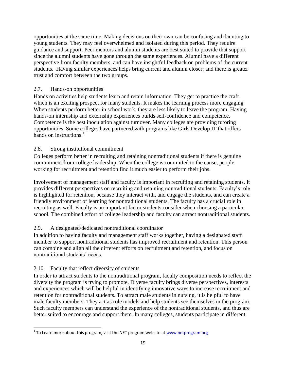opportunities at the same time. Making decisions on their own can be confusing and daunting to young students. They may feel overwhelmed and isolated during this period. They require guidance and support. Peer mentors and alumni students are best suited to provide that support since the alumni students have gone through the same experiences. Alumni have a different perspective from faculty members, and can have insightful feedback on problems of the current students. Having similar experiences helps bring current and alumni closer; and there is greater trust and comfort between the two groups.

#### <span id="page-19-0"></span>2.7. Hands-on opportunities

Hands on activities help students learn and retain information. They get to practice the craft which is an exciting prospect for many students. It makes the learning process more engaging. When students perform better in school work, they are less likely to leave the program. Having hands-on internship and externship experiences builds self-confidence and competence. Competence is the best inoculation against turnover. Many colleges are providing tutoring opportunities. Some colleges have partnered with programs like Girls Develop IT that offers hands on instructions.<sup>1</sup>

#### <span id="page-19-1"></span>2.8. Strong institutional commitment

Colleges perform better in recruiting and retaining nontraditional students if there is genuine commitment from college leadership. When the college is committed to the cause, people working for recruitment and retention find it much easier to perform their jobs.

Involvement of management staff and faculty is important in recruiting and retaining students. It provides different perspectives on recruiting and retaining nontraditional students. Faculty's role is highlighted for retention, because they interact with, and engage the students, and can create a friendly environment of learning for nontraditional students. The faculty has a crucial role in recruiting as well. Faculty is an important factor students consider when choosing a particular school. The combined effort of college leadership and faculty can attract nontraditional students.

# <span id="page-19-2"></span>2.9. A designated/dedicated nontraditional coordinator

In addition to having faculty and management staff works together, having a designated staff member to support nontraditional students has improved recruitment and retention. This person can combine and align all the different efforts on recruitment and retention, and focus on nontraditional students' needs.

#### <span id="page-19-3"></span>2.10. Faculty that reflect diversity of students

In order to attract students to the nontraditional program, faculty composition needs to reflect the diversity the program is trying to promote. Diverse faculty brings diverse perspectives, interests and experiences which will be helpful in identifying innovative ways to increase recruitment and retention for nontraditional students. To attract male students in nursing, it is helpful to have male faculty members. They act as role models and help students see themselves in the program. Such faculty members can understand the experience of the nontraditional students, and thus are better suited to encourage and support them. In many colleges, students participate in different

 $\overline{\phantom{a}}$ <sup>1</sup> To Learn more about this program, visit the NET program website at <u>www.netprogram.org</u>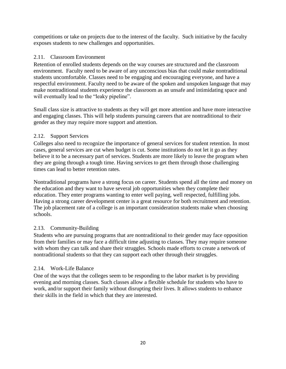competitions or take on projects due to the interest of the faculty. Such initiative by the faculty exposes students to new challenges and opportunities.

#### <span id="page-20-0"></span>2.11. Classroom Environment

Retention of enrolled students depends on the way courses are structured and the classroom environment. Faculty need to be aware of any unconscious bias that could make nontraditional students uncomfortable. Classes need to be engaging and encouraging everyone, and have a respectful environment. Faculty need to be aware of the spoken and unspoken language that may make nontraditional students experience the classroom as an unsafe and intimidating space and will eventually lead to the "leaky pipeline".

Small class size is attractive to students as they will get more attention and have more interactive and engaging classes. This will help students pursuing careers that are nontraditional to their gender as they may require more support and attention.

#### <span id="page-20-1"></span>2.12. Support Services

Colleges also need to recognize the importance of general services for student retention. In most cases, general services are cut when budget is cut. Some institutions do not let it go as they believe it to be a necessary part of services. Students are more likely to leave the program when they are going through a tough time. Having services to get them through those challenging times can lead to better retention rates.

Nontraditional programs have a strong focus on career. Students spend all the time and money on the education and they want to have several job opportunities when they complete their education. They enter programs wanting to enter well paying, well respected, fulfilling jobs. Having a strong career development center is a great resource for both recruitment and retention. The job placement rate of a college is an important consideration students make when choosing schools.

#### <span id="page-20-2"></span>2.13. Community-Building

Students who are pursuing programs that are nontraditional to their gender may face opposition from their families or may face a difficult time adjusting to classes. They may require someone with whom they can talk and share their struggles. Schools made efforts to create a network of nontraditional students so that they can support each other through their struggles.

#### <span id="page-20-3"></span>2.14. Work-Life Balance

One of the ways that the colleges seem to be responding to the labor market is by providing evening and morning classes. Such classes allow a flexible schedule for students who have to work, and/or support their family without disrupting their lives. It allows students to enhance their skills in the field in which that they are interested.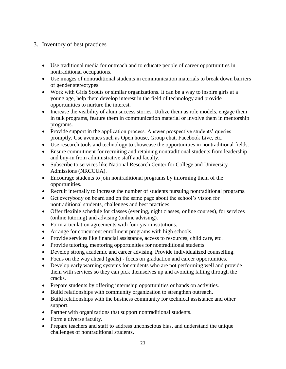# <span id="page-21-0"></span>3. Inventory of best practices

- Use traditional media for outreach and to educate people of career opportunities in nontraditional occupations.
- Use images of nontraditional students in communication materials to break down barriers of gender stereotypes.
- Work with Girls Scouts or similar organizations. It can be a way to inspire girls at a young age, help them develop interest in the field of technology and provide opportunities to nurture the interest.
- Increase the visibility of alum success stories. Utilize them as role models, engage them in talk programs, feature them in communication material or involve them in mentorship programs.
- Provide support in the application process. Answer prospective students' queries promptly. Use avenues such as Open house, Group chat, Facebook Live, etc.
- Use research tools and technology to showcase the opportunities in nontraditional fields.
- Ensure commitment for recruiting and retaining nontraditional students from leadership and buy-in from administrative staff and faculty.
- Subscribe to services like National Research Center for College and University Admissions (NRCCUA).
- Encourage students to join nontraditional programs by informing them of the opportunities.
- Recruit internally to increase the number of students pursuing nontraditional programs.
- Get everybody on board and on the same page about the school's vision for nontraditional students, challenges and best practices.
- Offer flexible schedule for classes (evening, night classes, online courses), for services (online tutoring) and advising (online advising).
- Form articulation agreements with four year institutions.
- Arrange for concurrent enrollment programs with high schools.
- Provide services like financial assistance, access to resources, child care, etc.
- Provide tutoring, mentoring opportunities for nontraditional students.
- Develop strong academic and career advising. Provide individualized counselling.
- Focus on the way ahead (goals) focus on graduation and career opportunities.
- Develop early warning systems for students who are not performing well and provide them with services so they can pick themselves up and avoiding falling through the cracks.
- Prepare students by offering internship opportunities or hands on activities.
- Build relationships with community organization to strengthen outreach.
- Build relationships with the business community for technical assistance and other support.
- Partner with organizations that support nontraditional students.
- Form a diverse faculty.
- Prepare teachers and staff to address unconscious bias, and understand the unique challenges of nontraditional students.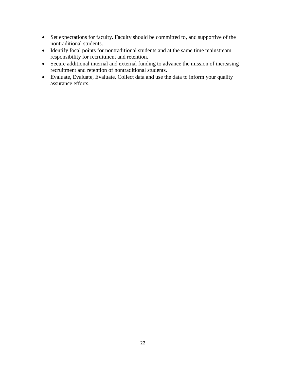- Set expectations for faculty. Faculty should be committed to, and supportive of the nontraditional students.
- Identify focal points for nontraditional students and at the same time mainstream responsibility for recruitment and retention.
- Secure additional internal and external funding to advance the mission of increasing recruitment and retention of nontraditional students.
- Evaluate, Evaluate, Evaluate. Collect data and use the data to inform your quality assurance efforts.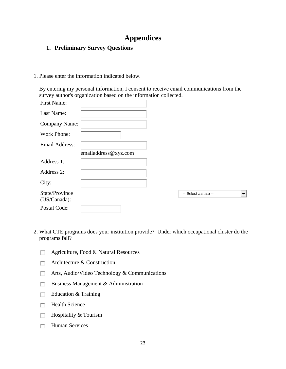# **Appendices**

# <span id="page-23-1"></span><span id="page-23-0"></span>**1. Preliminary Survey Questions**

1. Please enter the information indicated below.

By entering my personal information, I consent to receive email communications from the survey author's organization based on the information collected.

| First Name:                    |                      |                      |  |
|--------------------------------|----------------------|----------------------|--|
| Last Name:                     |                      |                      |  |
| Company Name:                  |                      |                      |  |
| Work Phone:                    |                      |                      |  |
| Email Address:                 |                      |                      |  |
|                                | emailaddress@xyz.com |                      |  |
| Address 1:                     |                      |                      |  |
| Address 2:                     |                      |                      |  |
| City:                          |                      |                      |  |
| State/Province<br>(US/Canada): |                      | -- Select a state -- |  |
| Postal Code:                   |                      |                      |  |

- 2. What CTE programs does your institution provide? Under which occupational cluster do the programs fall?
	- Agriculture, Food & Natural Resources П
	- Architecture & Construction П.
	- $\Box$  Arts, Audio/Video Technology & Communications
	- $\Box$  Business Management & Administration
	- $\Box$  Education & Training
	- $\Box$  Health Science
	- $\Box$  Hospitality & Tourism
	- $\Box$  Human Services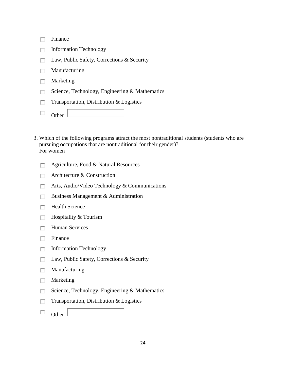| Finance                                        |
|------------------------------------------------|
| <b>Information Technology</b>                  |
| Law, Public Safety, Corrections & Security     |
| Manufacturing                                  |
| Marketing                                      |
| Science, Technology, Engineering & Mathematics |
| Transportation, Distribution & Logistics       |
|                                                |

- 3. Which of the following programs attract the most nontraditional students (students who are pursuing occupations that are nontraditional for their gender)? For women
	- Agriculture, Food & Natural Resources  $\Box$
	- Architecture & Construction  $\Box$
	- $\Box$  Arts, Audio/Video Technology & Communications
	- Business Management & Administration П.
	- Health Science П.
	- $\Box$  Hospitality & Tourism
	- $\Box$  Human Services
	- $\Box$  Finance
	- $\Box$  Information Technology
	- $\Box$  Law, Public Safety, Corrections & Security
	- $\Box$  Manufacturing
	- $\Box$  Marketing
	- Science, Technology, Engineering & Mathematics П.
	- Transportation, Distribution & Logistics П.
	- $\Box$ Other  $\lfloor$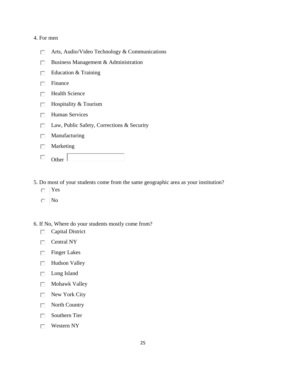#### 4. For men

- Arts, Audio/Video Technology & Communications  $\Box$
- Business Management & Administration  $\Box$
- Education & Training П.
- $\Box$  Finance
- $\Box$  Health Science
- $\Box$  Hospitality & Tourism
- $\Box$  Human Services
- □ Law, Public Safety, Corrections & Security
- $\Box$  Manufacturing
- Marketing  $\Box$
- $\Box$  Other  $\Box$
- 5. Do most of your students come from the same geographic area as your institution?
	- Yes  $\bigcap$
	- No
- 6. If No, Where do your students mostly come from?
	- Capital District П.
	- $\Box$  Central NY
	- $\Box$  Finger Lakes
	- $\Box$  Hudson Valley
	- □ Long Island
	- **Nohawk Valley**
	- $\Box$  New York City
	- $\Box$  North Country
	- $\Box$  Southern Tier
	- $\Box$  Western NY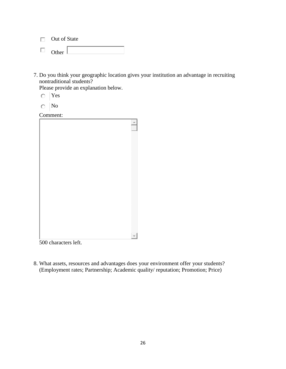- $\Box$  Out of State
- $\Box$ Other |
- 7. Do you think your geographic location gives your institution an advantage in recruiting nontraditional students?

Please provide an explanation below.

- Yes  $\circ$
- No

Comment:

500 characters left.

8. What assets, resources and advantages does your environment offer your students? (Employment rates; Partnership; Academic quality/ reputation; Promotion; Price)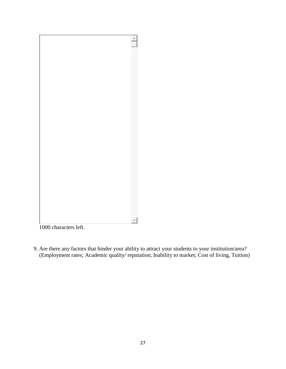

1000 characters left.

9. Are there any factors that hinder your ability to attract your students to your institution/area? (Employment rates; Academic quality/ reputation; Inability to market; Cost of living, Tuition)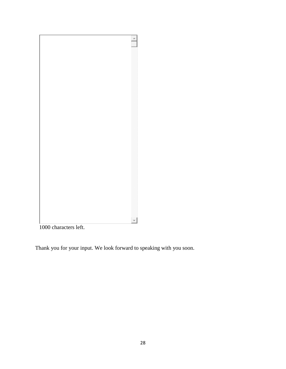

characters left.

Thank you for your input. We look forward to speaking with you soon.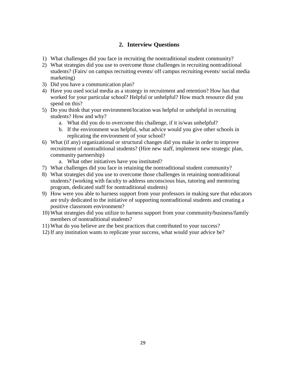# **2. Interview Questions**

- <span id="page-29-0"></span>1) What challenges did you face in recruiting the nontraditional student community?
- 2) What strategies did you use to overcome those challenges in recruiting nontraditional students? (Fairs/ on campus recruiting events/ off campus recruiting events/ social media marketing)
- 3) Did you have a communication plan?
- 4) Have you used social media as a strategy in recruitment and retention? How has that worked for your particular school? Helpful or unhelpful? How much resource did you spend on this?
- 5) Do you think that your environment/location was helpful or unhelpful in recruiting students? How and why?
	- a. What did you do to overcome this challenge, if it is/was unhelpful?
	- b. If the environment was helpful, what advice would you give other schools in replicating the environment of your school?
- 6) What (if any) organizational or structural changes did you make in order to improve recruitment of nontraditional students? (Hire new staff, implement new strategic plan, community partnership)
	- a. What other initiatives have you instituted?
- 7) What challenges did you face in retaining the nontraditional student community?
- 8) What strategies did you use to overcome those challenges in retaining nontraditional students? (working with faculty to address unconscious bias, tutoring and mentoring program, dedicated staff for nontraditional students)
- 9) How were you able to harness support from your professors in making sure that educators are truly dedicated to the initiative of supporting nontraditional students and creating a positive classroom environment?
- 10) What strategies did you utilize to harness support from your community/business/family members of nontraditional students?
- 11) What do you believe are the best practices that contributed to your success?
- 12) If any institution wants to replicate your success, what would your advice be?